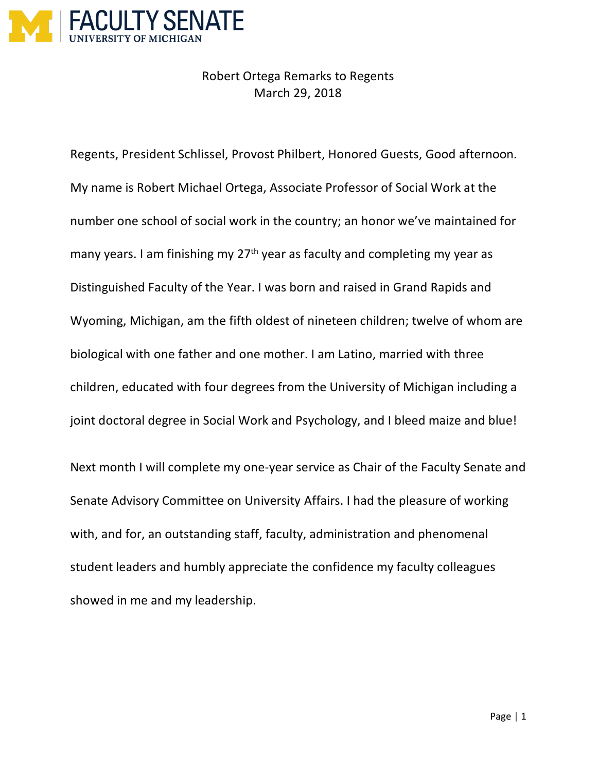

Robert Ortega Remarks to Regents March 29, 2018

Regents, President Schlissel, Provost Philbert, Honored Guests, Good afternoon. My name is Robert Michael Ortega, Associate Professor of Social Work at the number one school of social work in the country; an honor we've maintained for many years. I am finishing my 27<sup>th</sup> year as faculty and completing my year as Distinguished Faculty of the Year. I was born and raised in Grand Rapids and Wyoming, Michigan, am the fifth oldest of nineteen children; twelve of whom are biological with one father and one mother. I am Latino, married with three children, educated with four degrees from the University of Michigan including a joint doctoral degree in Social Work and Psychology, and I bleed maize and blue! Next month I will complete my one-year service as Chair of the Faculty Senate and

Senate Advisory Committee on University Affairs. I had the pleasure of working with, and for, an outstanding staff, faculty, administration and phenomenal student leaders and humbly appreciate the confidence my faculty colleagues showed in me and my leadership.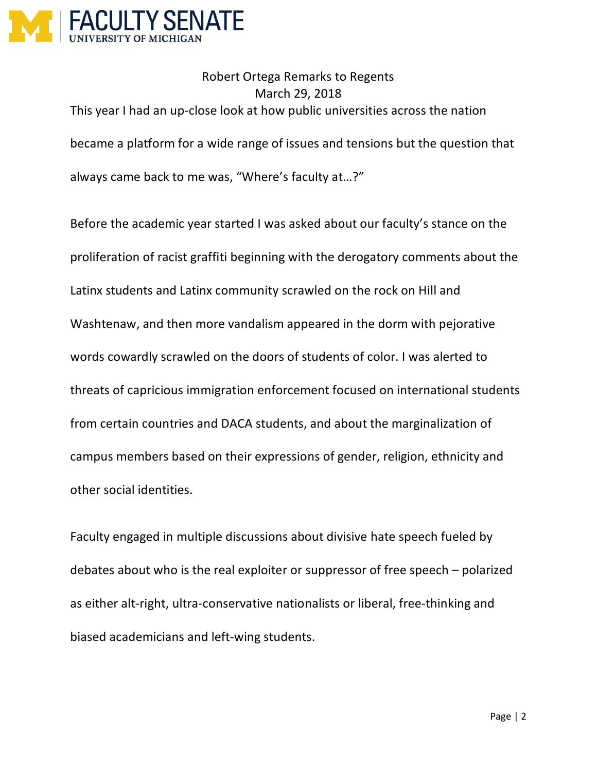

Robert Ortega Remarks to Regents March 29, 2018 This year I had an up-close look at how public universities across the nation became a platform for a wide range of issues and tensions but the question that always came back to me was, "Where's faculty at…?"

Before the academic year started I was asked about our faculty's stance on the proliferation of racist graffiti beginning with the derogatory comments about the Latinx students and Latinx community scrawled on the rock on Hill and Washtenaw, and then more vandalism appeared in the dorm with pejorative words cowardly scrawled on the doors of students of color. I was alerted to threats of capricious immigration enforcement focused on international students from certain countries and DACA students, and about the marginalization of campus members based on their expressions of gender, religion, ethnicity and other social identities.

Faculty engaged in multiple discussions about divisive hate speech fueled by debates about who is the real exploiter or suppressor of free speech – polarized as either alt-right, ultra-conservative nationalists or liberal, free-thinking and biased academicians and left-wing students.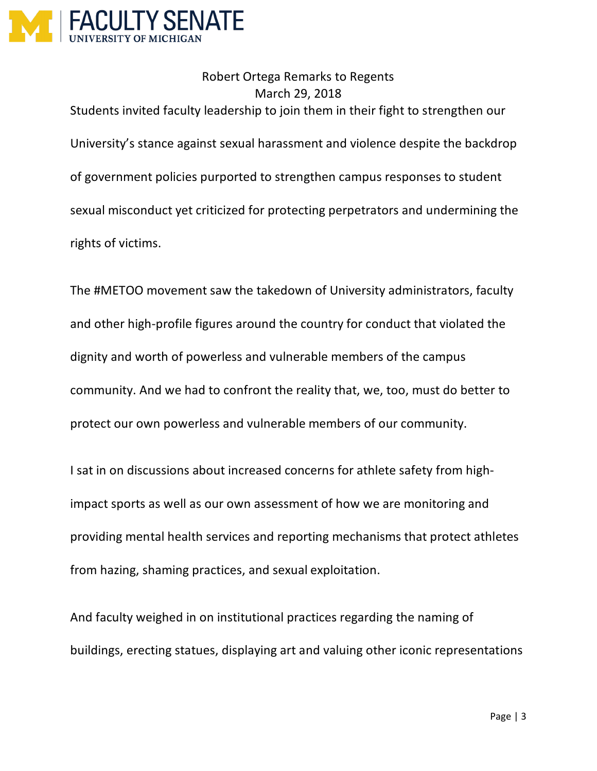

Robert Ortega Remarks to Regents March 29, 2018 Students invited faculty leadership to join them in their fight to strengthen our University's stance against sexual harassment and violence despite the backdrop of government policies purported to strengthen campus responses to student sexual misconduct yet criticized for protecting perpetrators and undermining the rights of victims.

The #METOO movement saw the takedown of University administrators, faculty and other high-profile figures around the country for conduct that violated the dignity and worth of powerless and vulnerable members of the campus community. And we had to confront the reality that, we, too, must do better to protect our own powerless and vulnerable members of our community.

I sat in on discussions about increased concerns for athlete safety from highimpact sports as well as our own assessment of how we are monitoring and providing mental health services and reporting mechanisms that protect athletes from hazing, shaming practices, and sexual exploitation.

And faculty weighed in on institutional practices regarding the naming of buildings, erecting statues, displaying art and valuing other iconic representations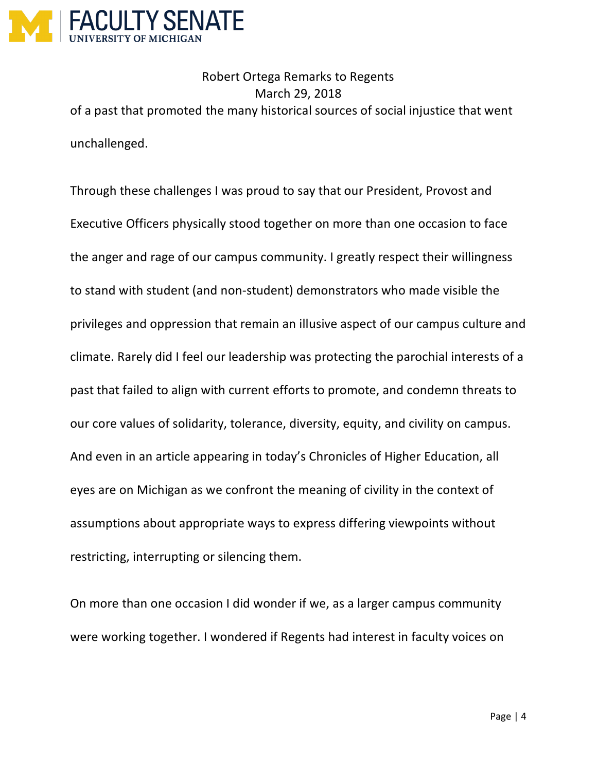

Robert Ortega Remarks to Regents March 29, 2018 of a past that promoted the many historical sources of social injustice that went unchallenged.

Through these challenges I was proud to say that our President, Provost and Executive Officers physically stood together on more than one occasion to face the anger and rage of our campus community. I greatly respect their willingness to stand with student (and non-student) demonstrators who made visible the privileges and oppression that remain an illusive aspect of our campus culture and climate. Rarely did I feel our leadership was protecting the parochial interests of a past that failed to align with current efforts to promote, and condemn threats to our core values of solidarity, tolerance, diversity, equity, and civility on campus. And even in an article appearing in today's Chronicles of Higher Education, all eyes are on Michigan as we confront the meaning of civility in the context of assumptions about appropriate ways to express differing viewpoints without restricting, interrupting or silencing them.

On more than one occasion I did wonder if we, as a larger campus community were working together. I wondered if Regents had interest in faculty voices on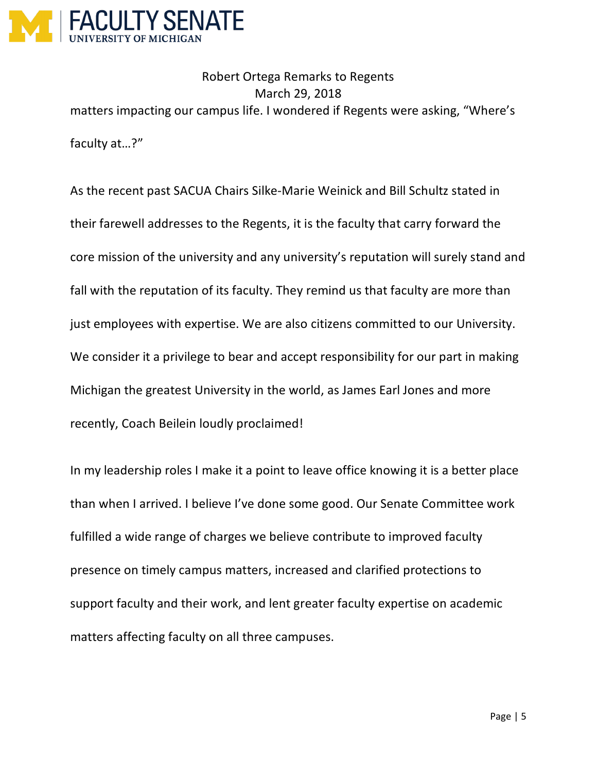

Robert Ortega Remarks to Regents March 29, 2018 matters impacting our campus life. I wondered if Regents were asking, "Where's faculty at…?"

As the recent past SACUA Chairs Silke-Marie Weinick and Bill Schultz stated in their farewell addresses to the Regents, it is the faculty that carry forward the core mission of the university and any university's reputation will surely stand and fall with the reputation of its faculty. They remind us that faculty are more than just employees with expertise. We are also citizens committed to our University. We consider it a privilege to bear and accept responsibility for our part in making Michigan the greatest University in the world, as James Earl Jones and more recently, Coach Beilein loudly proclaimed!

In my leadership roles I make it a point to leave office knowing it is a better place than when I arrived. I believe I've done some good. Our Senate Committee work fulfilled a wide range of charges we believe contribute to improved faculty presence on timely campus matters, increased and clarified protections to support faculty and their work, and lent greater faculty expertise on academic matters affecting faculty on all three campuses.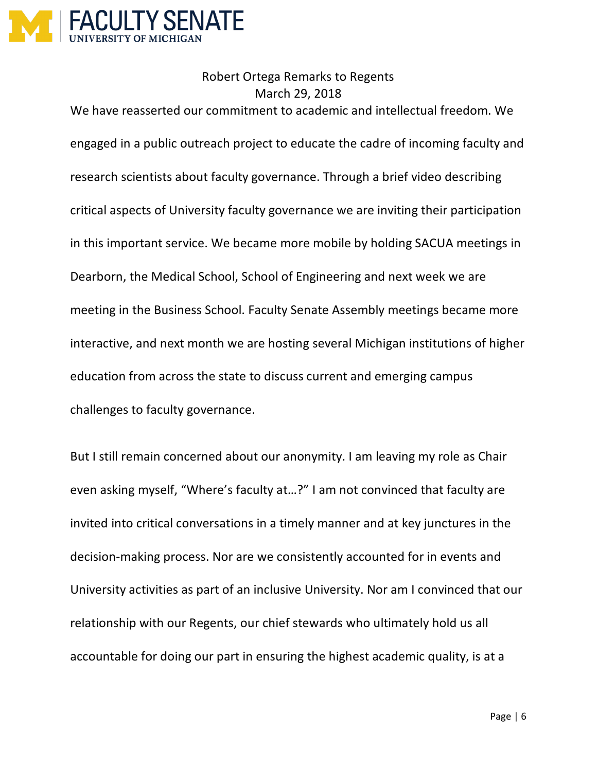

Robert Ortega Remarks to Regents March 29, 2018 We have reasserted our commitment to academic and intellectual freedom. We engaged in a public outreach project to educate the cadre of incoming faculty and research scientists about faculty governance. Through a brief video describing critical aspects of University faculty governance we are inviting their participation in this important service. We became more mobile by holding SACUA meetings in Dearborn, the Medical School, School of Engineering and next week we are meeting in the Business School. Faculty Senate Assembly meetings became more interactive, and next month we are hosting several Michigan institutions of higher education from across the state to discuss current and emerging campus challenges to faculty governance.

But I still remain concerned about our anonymity. I am leaving my role as Chair even asking myself, "Where's faculty at…?" I am not convinced that faculty are invited into critical conversations in a timely manner and at key junctures in the decision-making process. Nor are we consistently accounted for in events and University activities as part of an inclusive University. Nor am I convinced that our relationship with our Regents, our chief stewards who ultimately hold us all accountable for doing our part in ensuring the highest academic quality, is at a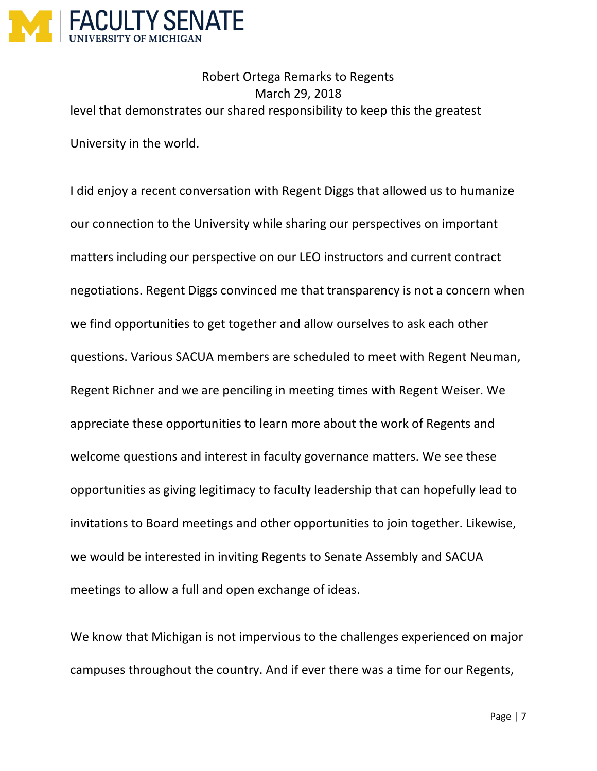

Robert Ortega Remarks to Regents March 29, 2018 level that demonstrates our shared responsibility to keep this the greatest University in the world.

I did enjoy a recent conversation with Regent Diggs that allowed us to humanize our connection to the University while sharing our perspectives on important matters including our perspective on our LEO instructors and current contract negotiations. Regent Diggs convinced me that transparency is not a concern when we find opportunities to get together and allow ourselves to ask each other questions. Various SACUA members are scheduled to meet with Regent Neuman, Regent Richner and we are penciling in meeting times with Regent Weiser. We appreciate these opportunities to learn more about the work of Regents and welcome questions and interest in faculty governance matters. We see these opportunities as giving legitimacy to faculty leadership that can hopefully lead to invitations to Board meetings and other opportunities to join together. Likewise, we would be interested in inviting Regents to Senate Assembly and SACUA meetings to allow a full and open exchange of ideas.

We know that Michigan is not impervious to the challenges experienced on major campuses throughout the country. And if ever there was a time for our Regents,